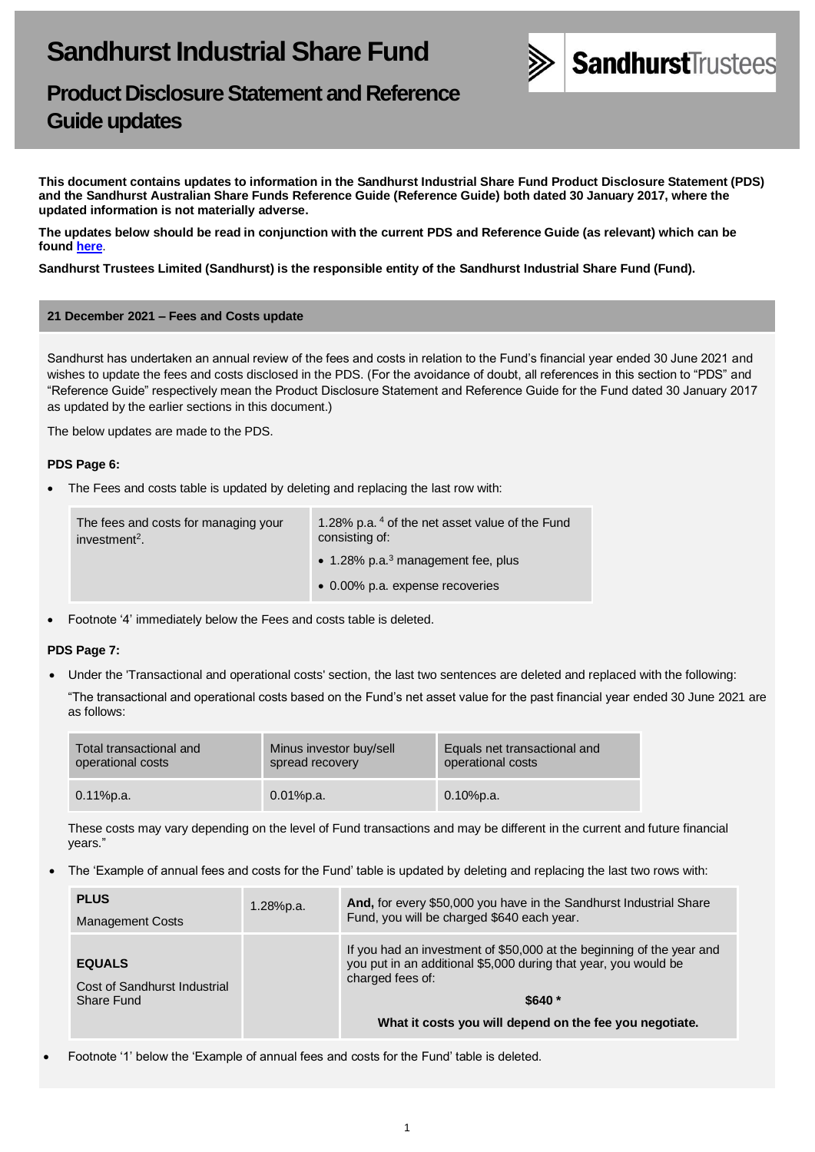

# **Product Disclosure Statement and Reference Guide updates**

**This document contains updates to information in the Sandhurst Industrial Share Fund Product Disclosure Statement (PDS) and the Sandhurst Australian Share Funds Reference Guide (Reference Guide) both dated 30 January 2017, where the updated information is not materially adverse.** 

**The updates below should be read in conjunction with the current PDS and Reference Guide (as relevant) which can be found [here](https://www.bendigobank.com.au/managedfundsforms)**.

**Sandhurst Trustees Limited (Sandhurst) is the responsible entity of the Sandhurst Industrial Share Fund (Fund).**

#### **21 December 2021 – Fees and Costs update**

Sandhurst has undertaken an annual review of the fees and costs in relation to the Fund's financial year ended 30 June 2021 and wishes to update the fees and costs disclosed in the PDS. (For the avoidance of doubt, all references in this section to "PDS" and "Reference Guide" respectively mean the Product Disclosure Statement and Reference Guide for the Fund dated 30 January 2017 as updated by the earlier sections in this document.)

The below updates are made to the PDS.

# **PDS Page 6:**

• The Fees and costs table is updated by deleting and replacing the last row with:

| The fees and costs for managing your<br>investment <sup>2</sup> . | 1.28% p.a. 4 of the net asset value of the Fund<br>consisting of: |
|-------------------------------------------------------------------|-------------------------------------------------------------------|
|                                                                   | $\bullet$ 1.28% p.a. <sup>3</sup> management fee, plus            |
|                                                                   | • 0.00% p.a. expense recoveries                                   |

• Footnote '4' immediately below the Fees and costs table is deleted.

# **PDS Page 7:**

• Under the 'Transactional and operational costs' section, the last two sentences are deleted and replaced with the following:

"The transactional and operational costs based on the Fund's net asset value for the past financial year ended 30 June 2021 are as follows:

| Total transactional and | Minus investor buy/sell | Equals net transactional and |
|-------------------------|-------------------------|------------------------------|
| operational costs       | spread recovery         | operational costs            |
| $0.11\%$ p.a.           | $0.01\%$ p.a.           | $0.10\%$ p.a.                |

These costs may vary depending on the level of Fund transactions and may be different in the current and future financial years."

• The 'Example of annual fees and costs for the Fund' table is updated by deleting and replacing the last two rows with:

| <b>PLUS</b><br><b>Management Costs</b>        | 1.28%p.a. | And, for every \$50,000 you have in the Sandhurst Industrial Share<br>Fund, you will be charged \$640 each year.                                             |
|-----------------------------------------------|-----------|--------------------------------------------------------------------------------------------------------------------------------------------------------------|
| <b>EQUALS</b><br>Cost of Sandhurst Industrial |           | If you had an investment of \$50,000 at the beginning of the year and<br>you put in an additional \$5,000 during that year, you would be<br>charged fees of: |
| Share Fund                                    |           | $$640*$                                                                                                                                                      |
|                                               |           | What it costs you will depend on the fee you negotiate.                                                                                                      |

• Footnote '1' below the 'Example of annual fees and costs for the Fund' table is deleted.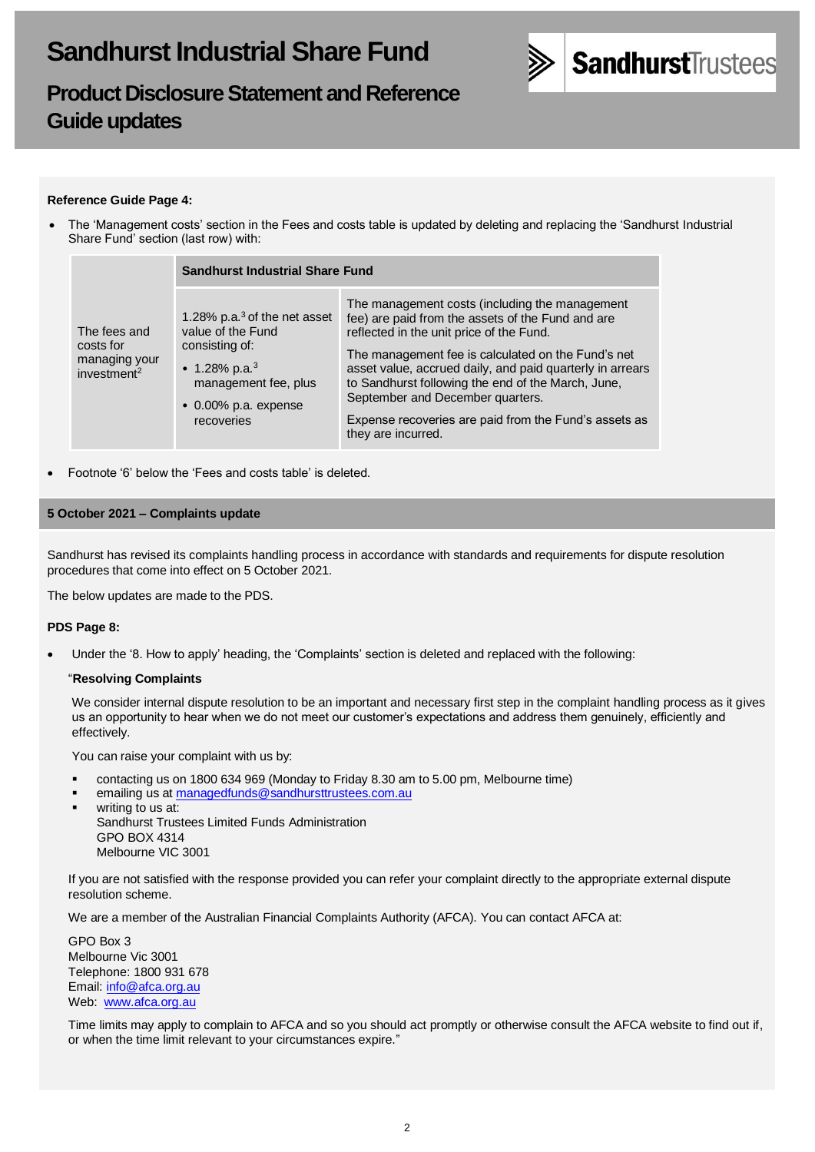

# **Product Disclosure Statement and Reference Guide updates**

# **Reference Guide Page 4:**

• The 'Management costs' section in the Fees and costs table is updated by deleting and replacing the 'Sandhurst Industrial Share Fund' section (last row) with:

|                                                                       | <b>Sandhurst Industrial Share Fund</b>                                                                                                                                    |                                                                                                                                                                                                                                                                                                                                                                                                                                             |  |
|-----------------------------------------------------------------------|---------------------------------------------------------------------------------------------------------------------------------------------------------------------------|---------------------------------------------------------------------------------------------------------------------------------------------------------------------------------------------------------------------------------------------------------------------------------------------------------------------------------------------------------------------------------------------------------------------------------------------|--|
| The fees and<br>costs for<br>managing your<br>investment <sup>2</sup> | 1.28% p.a. $3$ of the net asset<br>value of the Fund<br>consisting of:<br>• 1.28% p.a. <sup>3</sup><br>management fee, plus<br>$\bullet$ 0.00% p.a. expense<br>recoveries | The management costs (including the management<br>fee) are paid from the assets of the Fund and are<br>reflected in the unit price of the Fund.<br>The management fee is calculated on the Fund's net<br>asset value, accrued daily, and paid quarterly in arrears<br>to Sandhurst following the end of the March, June,<br>September and December quarters.<br>Expense recoveries are paid from the Fund's assets as<br>they are incurred. |  |

• Footnote '6' below the 'Fees and costs table' is deleted.

# **5 October 2021 – Complaints update**

Sandhurst has revised its complaints handling process in accordance with standards and requirements for dispute resolution procedures that come into effect on 5 October 2021.

The below updates are made to the PDS.

#### **PDS Page 8:**

• Under the '8. How to apply' heading, the 'Complaints' section is deleted and replaced with the following:

#### "**Resolving Complaints**

We consider internal dispute resolution to be an important and necessary first step in the complaint handling process as it gives us an opportunity to hear when we do not meet our customer's expectations and address them genuinely, efficiently and effectively.

You can raise your complaint with us by:

- contacting us on 1800 634 969 (Monday to Friday 8.30 am to 5.00 pm, Melbourne time)
- emailing us a[t managedfunds@sandhursttrustees.com.au](mailto:managedfunds@sandhursttrustees.com.au)
- writing to us at: Sandhurst Trustees Limited Funds Administration GPO BOX 4314 Melbourne VIC 3001

If you are not satisfied with the response provided you can refer your complaint directly to the appropriate external dispute resolution scheme.

We are a member of the Australian Financial Complaints Authority (AFCA). You can contact AFCA at:

GPO Box 3 Melbourne Vic 3001 Telephone: 1800 931 678 Email[: info@afca.org.au](mailto:info@afca.org.au) Web: [www.afca.org.au](https://www.afca.org.au/)

Time limits may apply to complain to AFCA and so you should act promptly or otherwise consult the AFCA website to find out if, or when the time limit relevant to your circumstances expire."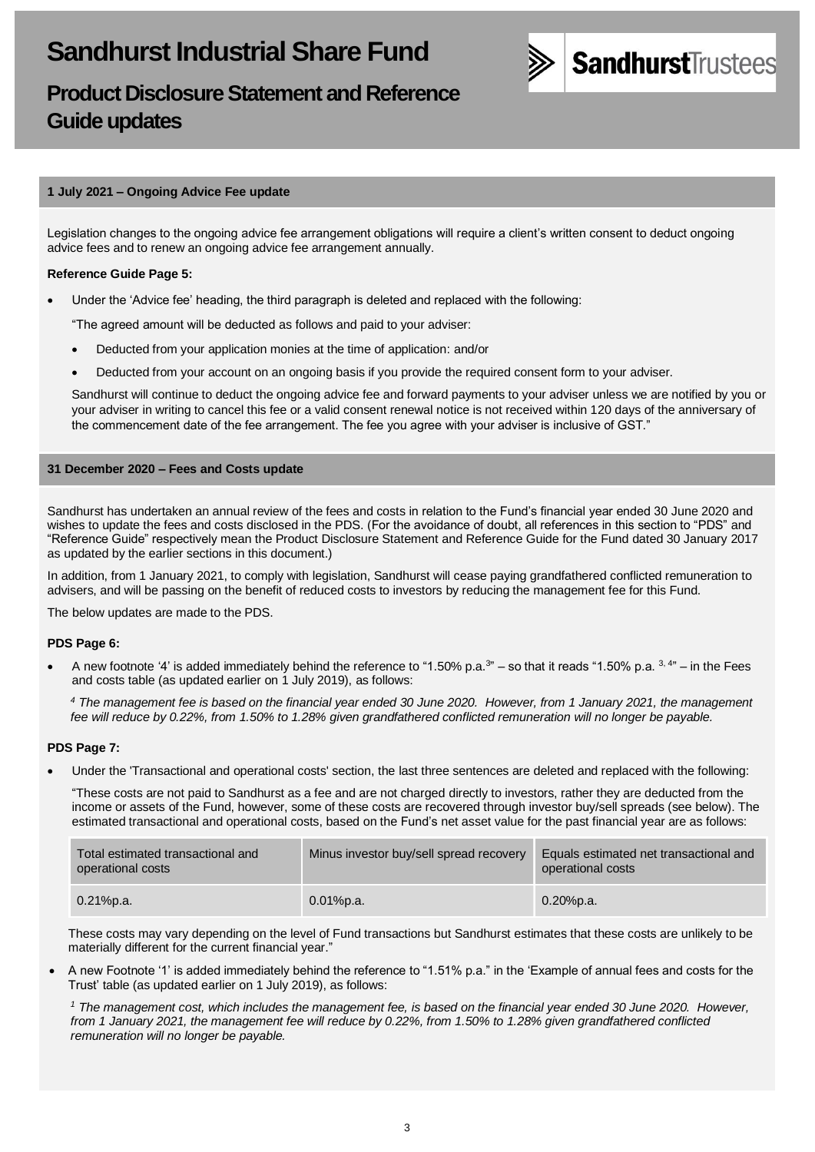

# **Product Disclosure Statement and Reference Guide updates**

### **1 July 2021 – Ongoing Advice Fee update**

Legislation changes to the ongoing advice fee arrangement obligations will require a client's written consent to deduct ongoing advice fees and to renew an ongoing advice fee arrangement annually.

### **Reference Guide Page 5:**

• Under the 'Advice fee' heading, the third paragraph is deleted and replaced with the following:

"The agreed amount will be deducted as follows and paid to your adviser:

- Deducted from your application monies at the time of application: and/or
- Deducted from your account on an ongoing basis if you provide the required consent form to your adviser.

Sandhurst will continue to deduct the ongoing advice fee and forward payments to your adviser unless we are notified by you or your adviser in writing to cancel this fee or a valid consent renewal notice is not received within 120 days of the anniversary of the commencement date of the fee arrangement. The fee you agree with your adviser is inclusive of GST."

### **31 December 2020 – Fees and Costs update**

Sandhurst has undertaken an annual review of the fees and costs in relation to the Fund's financial year ended 30 June 2020 and wishes to update the fees and costs disclosed in the PDS. (For the avoidance of doubt, all references in this section to "PDS" and "Reference Guide" respectively mean the Product Disclosure Statement and Reference Guide for the Fund dated 30 January 2017 as updated by the earlier sections in this document.)

In addition, from 1 January 2021, to comply with legislation, Sandhurst will cease paying grandfathered conflicted remuneration to advisers, and will be passing on the benefit of reduced costs to investors by reducing the management fee for this Fund.

The below updates are made to the PDS.

#### **PDS Page 6:**

• A new footnote '4' is added immediately behind the reference to "1.50% p.a.<sup>3</sup>" – so that it reads "1.50% p.a.  $3,4$ " – in the Fees and costs table (as updated earlier on 1 July 2019), as follows:

*<sup>4</sup> The management fee is based on the financial year ended 30 June 2020. However, from 1 January 2021, the management fee will reduce by 0.22%, from 1.50% to 1.28% given grandfathered conflicted remuneration will no longer be payable.*

# **PDS Page 7:**

• Under the 'Transactional and operational costs' section, the last three sentences are deleted and replaced with the following:

"These costs are not paid to Sandhurst as a fee and are not charged directly to investors, rather they are deducted from the income or assets of the Fund, however, some of these costs are recovered through investor buy/sell spreads (see below). The estimated transactional and operational costs, based on the Fund's net asset value for the past financial year are as follows:

| Total estimated transactional and<br>operational costs | Minus investor buy/sell spread recovery | Equals estimated net transactional and<br>operational costs |
|--------------------------------------------------------|-----------------------------------------|-------------------------------------------------------------|
| $0.21\%$ p.a.                                          | 0.01%p.a.                               | $0.20%$ p.a.                                                |

These costs may vary depending on the level of Fund transactions but Sandhurst estimates that these costs are unlikely to be materially different for the current financial year."

• A new Footnote '1' is added immediately behind the reference to "1.51% p.a." in the 'Example of annual fees and costs for the Trust' table (as updated earlier on 1 July 2019), as follows:

*<sup>1</sup> The management cost, which includes the management fee, is based on the financial year ended 30 June 2020. However, from 1 January 2021, the management fee will reduce by 0.22%, from 1.50% to 1.28% given grandfathered conflicted remuneration will no longer be payable.*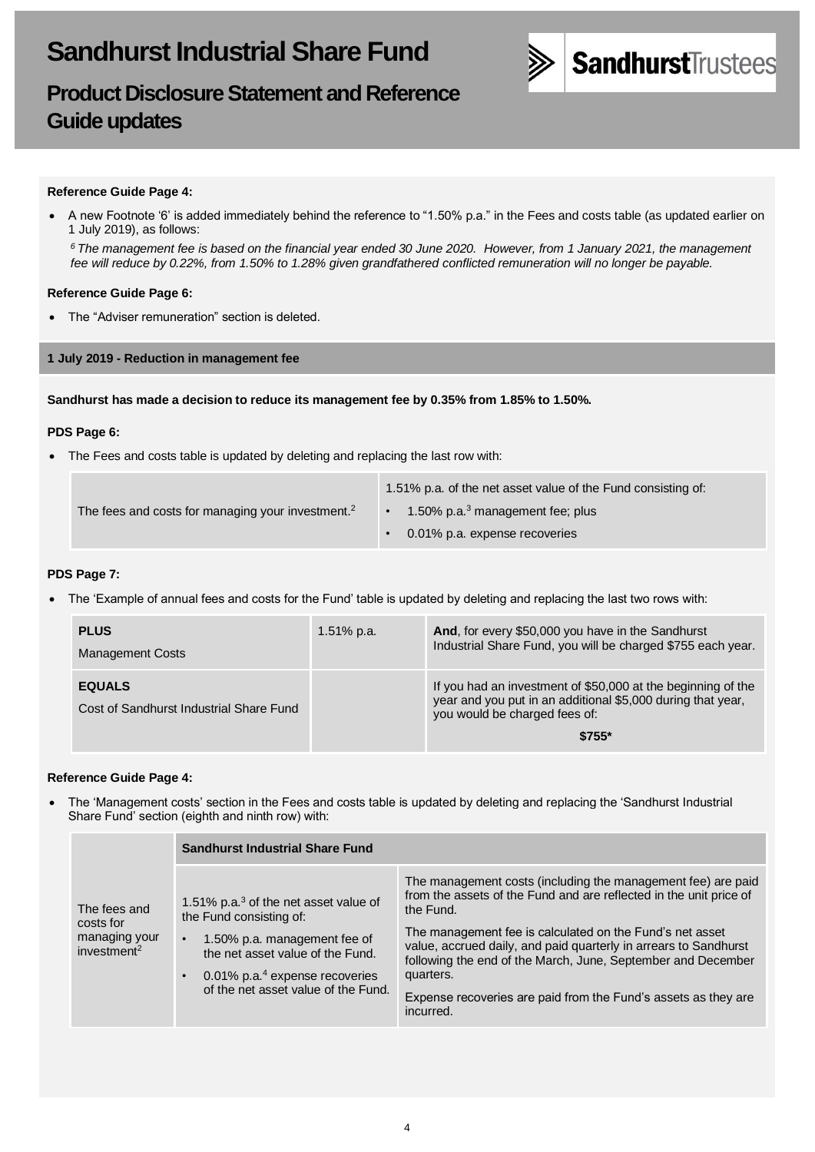



#### **Reference Guide Page 4:**

• A new Footnote '6' is added immediately behind the reference to "1.50% p.a." in the Fees and costs table (as updated earlier on 1 July 2019), as follows:

*<sup>6</sup>The management fee is based on the financial year ended 30 June 2020. However, from 1 January 2021, the management fee will reduce by 0.22%, from 1.50% to 1.28% given grandfathered conflicted remuneration will no longer be payable.*

### **Reference Guide Page 6:**

• The "Adviser remuneration" section is deleted.

**1 July 2019 - Reduction in management fee**

**Sandhurst has made a decision to reduce its management fee by 0.35% from 1.85% to 1.50%.**

#### **PDS Page 6:**

• The Fees and costs table is updated by deleting and replacing the last row with:

|                                                               | 1.51% p.a. of the net asset value of the Fund consisting of: |  |
|---------------------------------------------------------------|--------------------------------------------------------------|--|
| The fees and costs for managing your investment. <sup>2</sup> | 1.50% p.a. $3$ management fee; plus                          |  |
|                                                               | 0.01% p.a. expense recoveries                                |  |

#### **PDS Page 7:**

• The 'Example of annual fees and costs for the Fund' table is updated by deleting and replacing the last two rows with:

| <b>PLUS</b><br><b>Management Costs</b>                   | $1.51\%$ p.a. | And, for every \$50,000 you have in the Sandhurst<br>Industrial Share Fund, you will be charged \$755 each year.                                                        |
|----------------------------------------------------------|---------------|-------------------------------------------------------------------------------------------------------------------------------------------------------------------------|
| <b>EQUALS</b><br>Cost of Sandhurst Industrial Share Fund |               | If you had an investment of \$50,000 at the beginning of the<br>year and you put in an additional \$5,000 during that year,<br>you would be charged fees of:<br>$$755*$ |

#### **Reference Guide Page 4:**

• The 'Management costs' section in the Fees and costs table is updated by deleting and replacing the 'Sandhurst Industrial Share Fund' section (eighth and ninth row) with:

|                                                                       | <b>Sandhurst Industrial Share Fund</b>                                                                                                                                                                                                            |                                                                                                                                                                                                                                                                                                                                                                                                                                             |  |
|-----------------------------------------------------------------------|---------------------------------------------------------------------------------------------------------------------------------------------------------------------------------------------------------------------------------------------------|---------------------------------------------------------------------------------------------------------------------------------------------------------------------------------------------------------------------------------------------------------------------------------------------------------------------------------------------------------------------------------------------------------------------------------------------|--|
| The fees and<br>costs for<br>managing your<br>investment <sup>2</sup> | 1.51% p.a. $3$ of the net asset value of<br>the Fund consisting of:<br>1.50% p.a. management fee of<br>$\bullet$<br>the net asset value of the Fund.<br>$\cdot$ 0.01% p.a. <sup>4</sup> expense recoveries<br>of the net asset value of the Fund. | The management costs (including the management fee) are paid<br>from the assets of the Fund and are reflected in the unit price of<br>the Fund.<br>The management fee is calculated on the Fund's net asset<br>value, accrued daily, and paid quarterly in arrears to Sandhurst<br>following the end of the March, June, September and December<br>quarters.<br>Expense recoveries are paid from the Fund's assets as they are<br>incurred. |  |